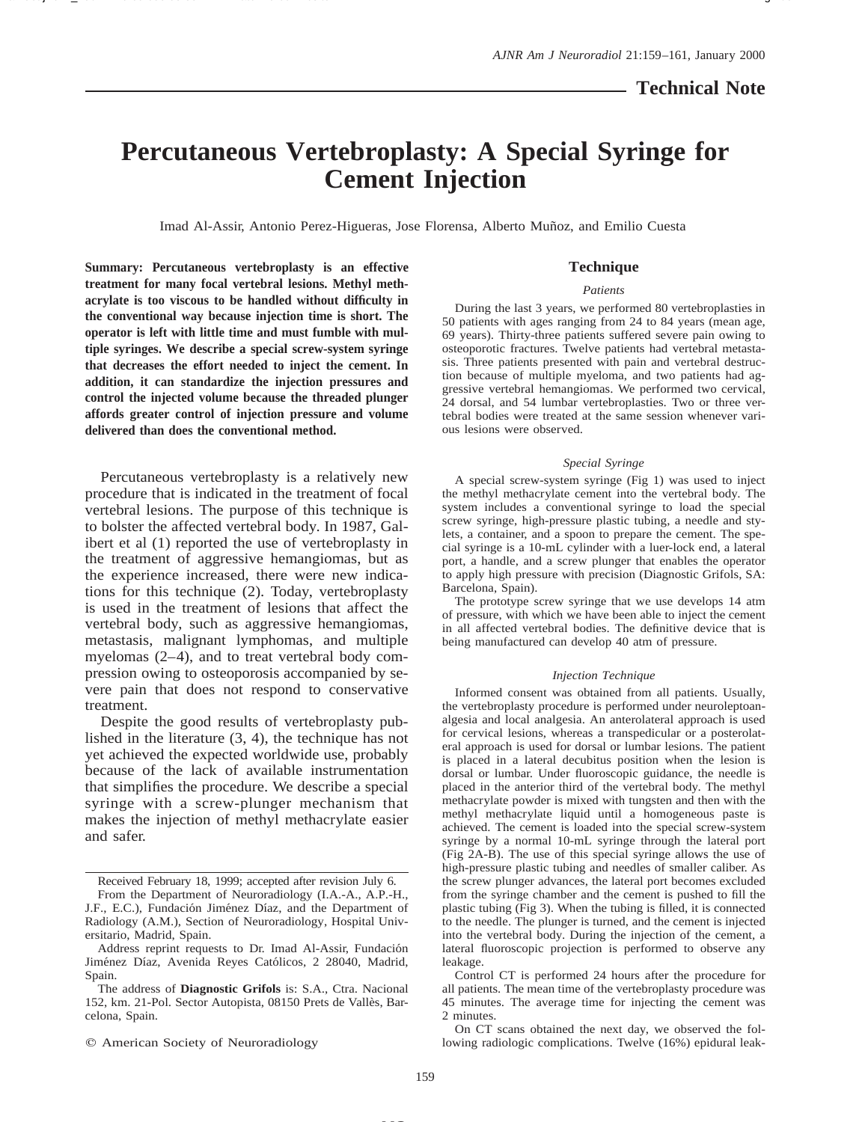# **Technical Note**

# **Percutaneous Vertebroplasty: A Special Syringe for Cement Injection**

Imad Al-Assir, Antonio Perez-Higueras, Jose Florensa, Alberto Mun˜oz, and Emilio Cuesta

**Summary: Percutaneous vertebroplasty is an effective treatment for many focal vertebral lesions. Methyl methacrylate is too viscous to be handled without difficulty in the conventional way because injection time is short. The operator is left with little time and must fumble with multiple syringes. We describe a special screw-system syringe that decreases the effort needed to inject the cement. In addition, it can standardize the injection pressures and control the injected volume because the threaded plunger affords greater control of injection pressure and volume delivered than does the conventional method.**

Percutaneous vertebroplasty is a relatively new procedure that is indicated in the treatment of focal vertebral lesions. The purpose of this technique is to bolster the affected vertebral body. In 1987, Galibert et al (1) reported the use of vertebroplasty in the treatment of aggressive hemangiomas, but as the experience increased, there were new indications for this technique (2). Today, vertebroplasty is used in the treatment of lesions that affect the vertebral body, such as aggressive hemangiomas, metastasis, malignant lymphomas, and multiple myelomas (2–4), and to treat vertebral body compression owing to osteoporosis accompanied by severe pain that does not respond to conservative treatment.

Despite the good results of vertebroplasty published in the literature (3, 4), the technique has not yet achieved the expected worldwide use, probably because of the lack of available instrumentation that simplifies the procedure. We describe a special syringe with a screw-plunger mechanism that makes the injection of methyl methacrylate easier and safer.

### **Technique**

#### *Patients*

During the last 3 years, we performed 80 vertebroplasties in 50 patients with ages ranging from 24 to 84 years (mean age, 69 years). Thirty-three patients suffered severe pain owing to osteoporotic fractures. Twelve patients had vertebral metastasis. Three patients presented with pain and vertebral destruction because of multiple myeloma, and two patients had aggressive vertebral hemangiomas. We performed two cervical, 24 dorsal, and 54 lumbar vertebroplasties. Two or three vertebral bodies were treated at the same session whenever various lesions were observed.

#### *Special Syringe*

A special screw-system syringe (Fig 1) was used to inject the methyl methacrylate cement into the vertebral body. The system includes a conventional syringe to load the special screw syringe, high-pressure plastic tubing, a needle and stylets, a container, and a spoon to prepare the cement. The special syringe is a 10-mL cylinder with a luer-lock end, a lateral port, a handle, and a screw plunger that enables the operator to apply high pressure with precision (Diagnostic Grifols, SA: Barcelona, Spain).

The prototype screw syringe that we use develops 14 atm of pressure, with which we have been able to inject the cement in all affected vertebral bodies. The definitive device that is being manufactured can develop 40 atm of pressure.

#### *Injection Technique*

Informed consent was obtained from all patients. Usually, the vertebroplasty procedure is performed under neuroleptoanalgesia and local analgesia. An anterolateral approach is used for cervical lesions, whereas a transpedicular or a posterolateral approach is used for dorsal or lumbar lesions. The patient is placed in a lateral decubitus position when the lesion is dorsal or lumbar. Under fluoroscopic guidance, the needle is placed in the anterior third of the vertebral body. The methyl methacrylate powder is mixed with tungsten and then with the methyl methacrylate liquid until a homogeneous paste is achieved. The cement is loaded into the special screw-system syringe by a normal 10-mL syringe through the lateral port (Fig 2A-B). The use of this special syringe allows the use of high-pressure plastic tubing and needles of smaller caliber. As the screw plunger advances, the lateral port becomes excluded from the syringe chamber and the cement is pushed to fill the plastic tubing (Fig 3). When the tubing is filled, it is connected to the needle. The plunger is turned, and the cement is injected into the vertebral body. During the injection of the cement, a lateral fluoroscopic projection is performed to observe any leakage.

On CT scans obtained the next day, we observed the following radiologic complications. Twelve (16%) epidural leak-

Received February 18, 1999; accepted after revision July 6.

From the Department of Neuroradiology (I.A.-A., A.P.-H., J.F., E.C.), Fundación Jiménez Díaz, and the Department of Radiology (A.M.), Section of Neuroradiology, Hospital Universitario, Madrid, Spain.

Address reprint requests to Dr. Imad Al-Assir, Fundación Jiménez Díaz, Avenida Reyes Católicos, 2 28040, Madrid, Spain.

The address of **Diagnostic Grifols** is: S.A., Ctra. Nacional 152, km. 21-Pol. Sector Autopista, 08150 Prets de Vallès, Barcelona, Spain.

 $Q$  American Society of Neuroradiology

Control CT is performed 24 hours after the procedure for all patients. The mean time of the vertebroplasty procedure was 45 minutes. The average time for injecting the cement was 2 minutes.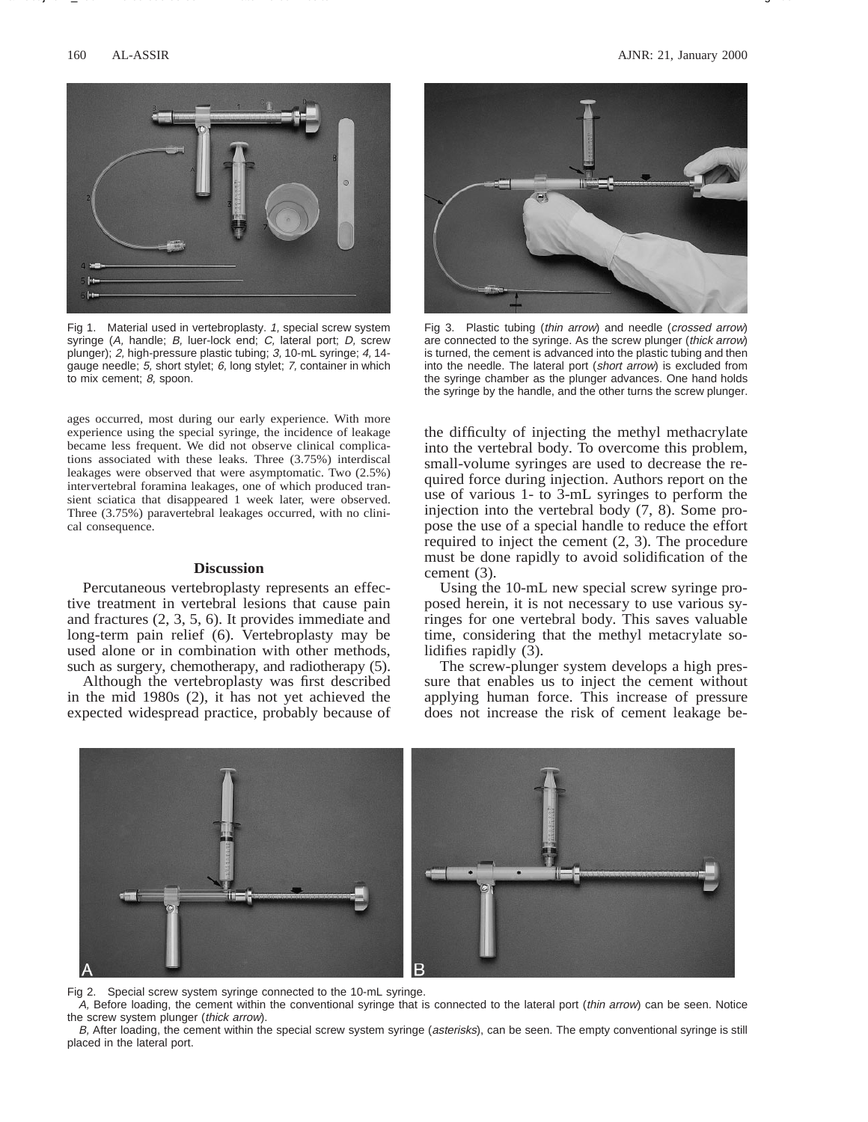

Fig 1. Material used in vertebroplasty. 1, special screw system syringe (A, handle; B, luer-lock end; C, lateral port; D, screw plunger); 2, high-pressure plastic tubing; 3, 10-mL syringe; 4, 14 gauge needle; 5, short stylet; 6, long stylet; 7, container in which to mix cement; 8, spoon.

ages occurred, most during our early experience. With more experience using the special syringe, the incidence of leakage became less frequent. We did not observe clinical complications associated with these leaks. Three (3.75%) interdiscal leakages were observed that were asymptomatic. Two (2.5%) intervertebral foramina leakages, one of which produced transient sciatica that disappeared 1 week later, were observed. Three (3.75%) paravertebral leakages occurred, with no clinical consequence.

## **Discussion**

Percutaneous vertebroplasty represents an effective treatment in vertebral lesions that cause pain and fractures (2, 3, 5, 6). It provides immediate and long-term pain relief (6). Vertebroplasty may be used alone or in combination with other methods, such as surgery, chemotherapy, and radiotherapy (5).

Although the vertebroplasty was first described in the mid 1980s (2), it has not yet achieved the expected widespread practice, probably because of



Fig 3. Plastic tubing (thin arrow) and needle (crossed arrow) are connected to the syringe. As the screw plunger (thick arrow) is turned, the cement is advanced into the plastic tubing and then into the needle. The lateral port (short arrow) is excluded from the syringe chamber as the plunger advances. One hand holds the syringe by the handle, and the other turns the screw plunger.

the difficulty of injecting the methyl methacrylate into the vertebral body. To overcome this problem, small-volume syringes are used to decrease the required force during injection. Authors report on the use of various 1- to 3-mL syringes to perform the injection into the vertebral body (7, 8). Some propose the use of a special handle to reduce the effort required to inject the cement (2, 3). The procedure must be done rapidly to avoid solidification of the cement (3).

Using the 10-mL new special screw syringe proposed herein, it is not necessary to use various syringes for one vertebral body. This saves valuable time, considering that the methyl metacrylate solidifies rapidly (3).

The screw-plunger system develops a high pressure that enables us to inject the cement without applying human force. This increase of pressure does not increase the risk of cement leakage be-



Fig 2. Special screw system syringe connected to the 10-mL syringe.

A, Before loading, the cement within the conventional syringe that is connected to the lateral port (thin arrow) can be seen. Notice the screw system plunger (thick arrow).

B, After loading, the cement within the special screw system syringe (asterisks), can be seen. The empty conventional syringe is still placed in the lateral port.